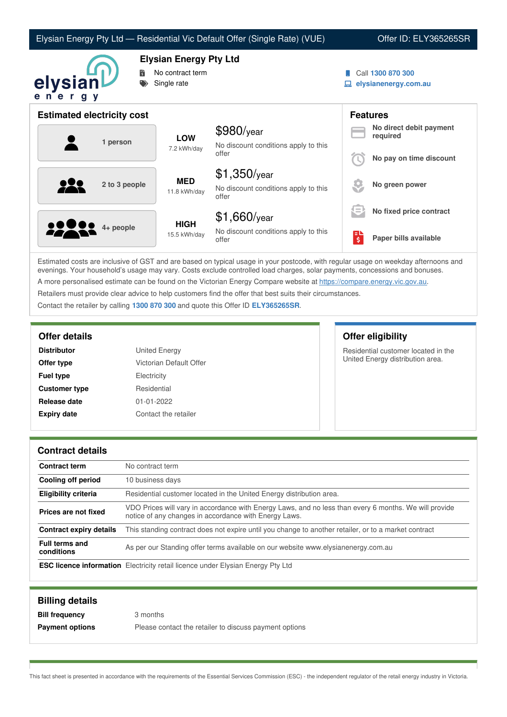|  |  | Elysian Energy Pty Ltd — Residential Vic Default Offer (Single Rate) (VUE) |
|--|--|----------------------------------------------------------------------------|
|--|--|----------------------------------------------------------------------------|

## Offer ID: ELY365265SR



**Elysian Energy Pty Ltd**

- No contract term
- Single rate
- Call **1300 870 300**
- **elysianenergy.com.au**

| <b>Estimated electricity cost</b> |                             |                                                                 |                     | <b>Features</b>                     |
|-----------------------------------|-----------------------------|-----------------------------------------------------------------|---------------------|-------------------------------------|
| 1 person                          | <b>LOW</b><br>7.2 kWh/day   | $$980$ /year<br>No discount conditions apply to this<br>offer   |                     | No direct debit payment<br>required |
|                                   |                             |                                                                 |                     | No pay on time discount             |
| 2 to 3 people                     | <b>MED</b><br>11.8 kWh/day  | $$1,350$ /year<br>No discount conditions apply to this<br>offer |                     | No green power                      |
|                                   |                             | $$1,660$ /year                                                  | Œ.                  | No fixed price contract             |
| <b>2200</b> 4+ people             | <b>HIGH</b><br>15.5 kWh/day | No discount conditions apply to this<br>offer                   | $\ddot{\bm{\zeta}}$ | Paper bills available               |

Estimated costs are inclusive of GST and are based on typical usage in your postcode, with regular usage on weekday afternoons and evenings. Your household's usage may vary. Costs exclude controlled load charges, solar payments, concessions and bonuses. A more personalised estimate can be found on the Victorian Energy Compare website at <https://compare.energy.vic.gov.au>.

Retailers must provide clear advice to help customers find the offer that best suits their circumstances.

Contact the retailer by calling **1300 870 300** and quote this Offer ID **ELY365265SR**.

| <b>Distributor</b>   | <b>United Energy</b>    |
|----------------------|-------------------------|
| Offer type           | Victorian Default Offer |
| <b>Fuel type</b>     | Electricity             |
| <b>Customer type</b> | Residential             |
| Release date         | $01 - 01 - 2022$        |
| <b>Expiry date</b>   | Contact the retailer    |

**Offer details Offer eligibility**

Residential customer located in the United Energy distribution area.

## **Contract details**

| <b>Contract term</b>                | No contract term                                                                                                                                               |
|-------------------------------------|----------------------------------------------------------------------------------------------------------------------------------------------------------------|
| Cooling off period                  | 10 business days                                                                                                                                               |
| <b>Eligibility criteria</b>         | Residential customer located in the United Energy distribution area.                                                                                           |
| Prices are not fixed                | VDO Prices will vary in accordance with Energy Laws, and no less than every 6 months. We will provide<br>notice of any changes in accordance with Energy Laws. |
| <b>Contract expiry details</b>      | This standing contract does not expire until you change to another retailer, or to a market contract                                                           |
| <b>Full terms and</b><br>conditions | As per our Standing offer terms available on our website www.elysianenergy.com.au                                                                              |
|                                     | <b>ESC licence information</b> Electricity retail licence under Elysian Energy Pty Ltd                                                                         |

| <b>Billing details</b> |                                                        |
|------------------------|--------------------------------------------------------|
| <b>Bill frequency</b>  | 3 months                                               |
| <b>Payment options</b> | Please contact the retailer to discuss payment options |